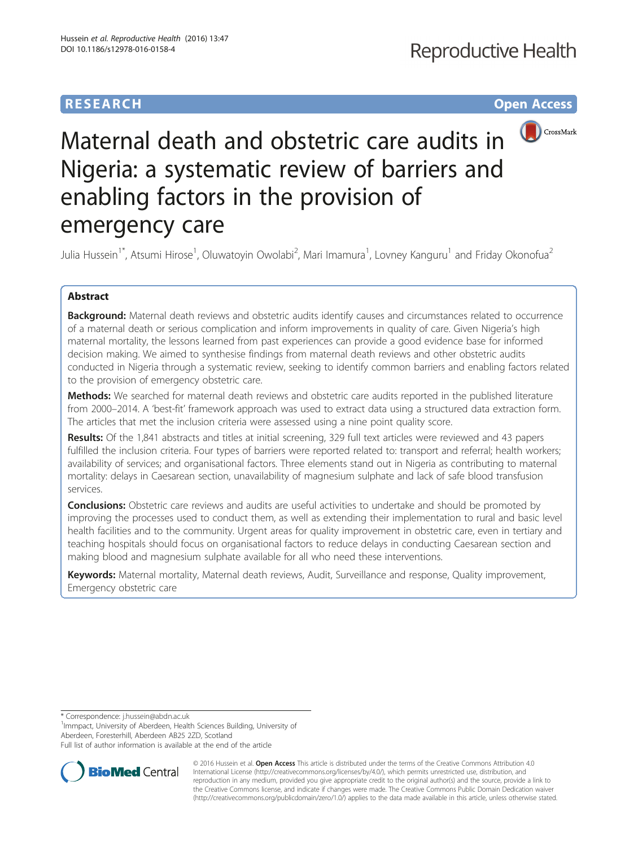## **RESEARCH RESEARCH** *CHECK CHECK CHECK CHECK CHECK CHECK CHECK CHECK CHECK CHECK CHECK CHECK CHECK CHECK CHECK CHECK CHECK CHECK CHECK CHECK CHECK CHECK CHECK CHECK CHECK CHECK CHECK CHECK CHECK CHECK CHECK CHECK CHECK*



# Maternal death and obstetric care audits in Nigeria: a systematic review of barriers and enabling factors in the provision of emergency care

Julia Hussein<sup>1\*</sup>, Atsumi Hirose<sup>1</sup>, Oluwatoyin Owolabi<sup>2</sup>, Mari Imamura<sup>1</sup>, Lovney Kanguru<sup>1</sup> and Friday Okonofua<sup>2</sup>

## Abstract

Background: Maternal death reviews and obstetric audits identify causes and circumstances related to occurrence of a maternal death or serious complication and inform improvements in quality of care. Given Nigeria's high maternal mortality, the lessons learned from past experiences can provide a good evidence base for informed decision making. We aimed to synthesise findings from maternal death reviews and other obstetric audits conducted in Nigeria through a systematic review, seeking to identify common barriers and enabling factors related to the provision of emergency obstetric care.

Methods: We searched for maternal death reviews and obstetric care audits reported in the published literature from 2000–2014. A 'best-fit' framework approach was used to extract data using a structured data extraction form. The articles that met the inclusion criteria were assessed using a nine point quality score.

Results: Of the 1,841 abstracts and titles at initial screening, 329 full text articles were reviewed and 43 papers fulfilled the inclusion criteria. Four types of barriers were reported related to: transport and referral; health workers; availability of services; and organisational factors. Three elements stand out in Nigeria as contributing to maternal mortality: delays in Caesarean section, unavailability of magnesium sulphate and lack of safe blood transfusion services.

**Conclusions:** Obstetric care reviews and audits are useful activities to undertake and should be promoted by improving the processes used to conduct them, as well as extending their implementation to rural and basic level health facilities and to the community. Urgent areas for quality improvement in obstetric care, even in tertiary and teaching hospitals should focus on organisational factors to reduce delays in conducting Caesarean section and making blood and magnesium sulphate available for all who need these interventions.

Keywords: Maternal mortality, Maternal death reviews, Audit, Surveillance and response, Quality improvement, Emergency obstetric care

\* Correspondence: [j.hussein@abdn.ac.uk](mailto:j.hussein@abdn.ac.uk) <sup>1</sup>

<sup>1</sup>Immpact, University of Aberdeen, Health Sciences Building, University of Aberdeen, Foresterhill, Aberdeen AB25 2ZD, Scotland

Full list of author information is available at the end of the article



© 2016 Hussein et al. Open Access This article is distributed under the terms of the Creative Commons Attribution 4.0 International License [\(http://creativecommons.org/licenses/by/4.0/](http://creativecommons.org/licenses/by/4.0/)), which permits unrestricted use, distribution, and reproduction in any medium, provided you give appropriate credit to the original author(s) and the source, provide a link to the Creative Commons license, and indicate if changes were made. The Creative Commons Public Domain Dedication waiver [\(http://creativecommons.org/publicdomain/zero/1.0/](http://creativecommons.org/publicdomain/zero/1.0/)) applies to the data made available in this article, unless otherwise stated.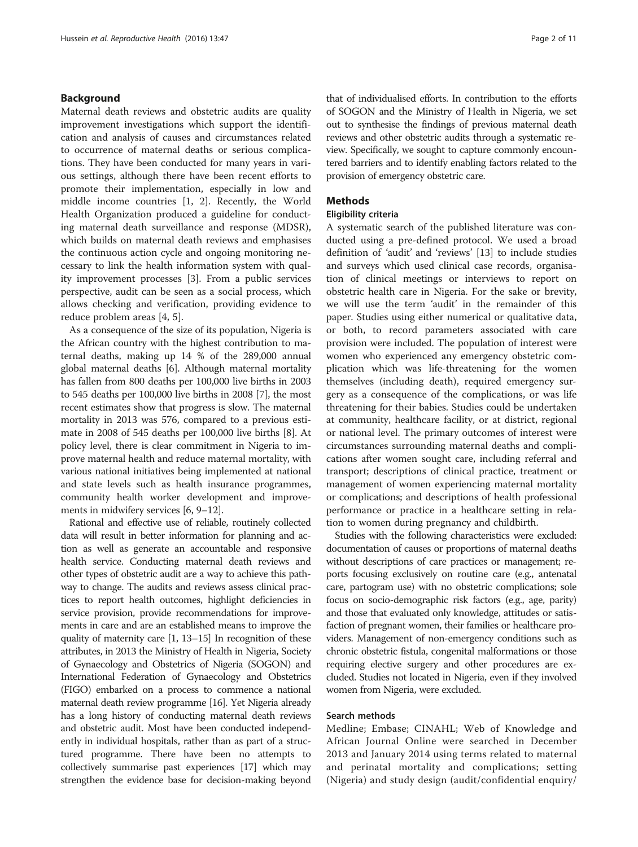## Background

Maternal death reviews and obstetric audits are quality improvement investigations which support the identification and analysis of causes and circumstances related to occurrence of maternal deaths or serious complications. They have been conducted for many years in various settings, although there have been recent efforts to promote their implementation, especially in low and middle income countries [[1](#page-8-0), [2](#page-8-0)]. Recently, the World Health Organization produced a guideline for conducting maternal death surveillance and response (MDSR), which builds on maternal death reviews and emphasises the continuous action cycle and ongoing monitoring necessary to link the health information system with quality improvement processes [[3\]](#page-8-0). From a public services perspective, audit can be seen as a social process, which allows checking and verification, providing evidence to reduce problem areas [\[4, 5](#page-8-0)].

As a consequence of the size of its population, Nigeria is the African country with the highest contribution to maternal deaths, making up 14 % of the 289,000 annual global maternal deaths [[6\]](#page-9-0). Although maternal mortality has fallen from 800 deaths per 100,000 live births in 2003 to 545 deaths per 100,000 live births in 2008 [\[7](#page-9-0)], the most recent estimates show that progress is slow. The maternal mortality in 2013 was 576, compared to a previous estimate in 2008 of 545 deaths per 100,000 live births [\[8](#page-9-0)]. At policy level, there is clear commitment in Nigeria to improve maternal health and reduce maternal mortality, with various national initiatives being implemented at national and state levels such as health insurance programmes, community health worker development and improvements in midwifery services [[6, 9](#page-9-0)–[12\]](#page-9-0).

Rational and effective use of reliable, routinely collected data will result in better information for planning and action as well as generate an accountable and responsive health service. Conducting maternal death reviews and other types of obstetric audit are a way to achieve this pathway to change. The audits and reviews assess clinical practices to report health outcomes, highlight deficiencies in service provision, provide recommendations for improvements in care and are an established means to improve the quality of maternity care [[1,](#page-8-0) [13](#page-9-0)–[15](#page-9-0)] In recognition of these attributes, in 2013 the Ministry of Health in Nigeria, Society of Gynaecology and Obstetrics of Nigeria (SOGON) and International Federation of Gynaecology and Obstetrics (FIGO) embarked on a process to commence a national maternal death review programme [\[16\]](#page-9-0). Yet Nigeria already has a long history of conducting maternal death reviews and obstetric audit. Most have been conducted independently in individual hospitals, rather than as part of a structured programme. There have been no attempts to collectively summarise past experiences [\[17\]](#page-9-0) which may strengthen the evidence base for decision-making beyond

that of individualised efforts. In contribution to the efforts of SOGON and the Ministry of Health in Nigeria, we set out to synthesise the findings of previous maternal death reviews and other obstetric audits through a systematic review. Specifically, we sought to capture commonly encountered barriers and to identify enabling factors related to the provision of emergency obstetric care.

## Methods

## Eligibility criteria

A systematic search of the published literature was conducted using a pre-defined protocol. We used a broad definition of 'audit' and 'reviews' [[13\]](#page-9-0) to include studies and surveys which used clinical case records, organisation of clinical meetings or interviews to report on obstetric health care in Nigeria. For the sake or brevity, we will use the term 'audit' in the remainder of this paper. Studies using either numerical or qualitative data, or both, to record parameters associated with care provision were included. The population of interest were women who experienced any emergency obstetric complication which was life-threatening for the women themselves (including death), required emergency surgery as a consequence of the complications, or was life threatening for their babies. Studies could be undertaken at community, healthcare facility, or at district, regional or national level. The primary outcomes of interest were circumstances surrounding maternal deaths and complications after women sought care, including referral and transport; descriptions of clinical practice, treatment or management of women experiencing maternal mortality or complications; and descriptions of health professional performance or practice in a healthcare setting in relation to women during pregnancy and childbirth.

Studies with the following characteristics were excluded: documentation of causes or proportions of maternal deaths without descriptions of care practices or management; reports focusing exclusively on routine care (e.g., antenatal care, partogram use) with no obstetric complications; sole focus on socio-demographic risk factors (e.g., age, parity) and those that evaluated only knowledge, attitudes or satisfaction of pregnant women, their families or healthcare providers. Management of non-emergency conditions such as chronic obstetric fistula, congenital malformations or those requiring elective surgery and other procedures are excluded. Studies not located in Nigeria, even if they involved women from Nigeria, were excluded.

## Search methods

Medline; Embase; CINAHL; Web of Knowledge and African Journal Online were searched in December 2013 and January 2014 using terms related to maternal and perinatal mortality and complications; setting (Nigeria) and study design (audit/confidential enquiry/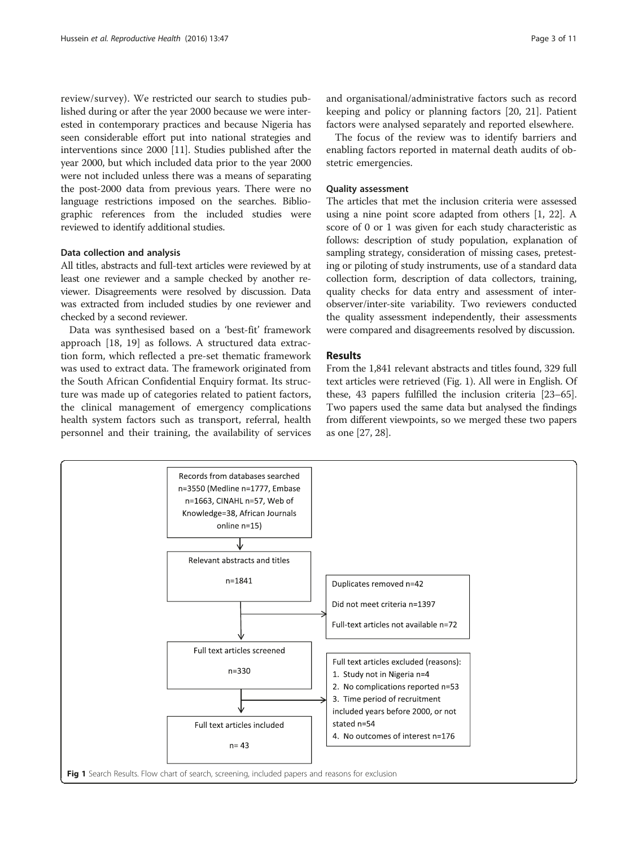<span id="page-2-0"></span>review/survey). We restricted our search to studies published during or after the year 2000 because we were interested in contemporary practices and because Nigeria has seen considerable effort put into national strategies and interventions since 2000 [[11\]](#page-9-0). Studies published after the year 2000, but which included data prior to the year 2000 were not included unless there was a means of separating the post-2000 data from previous years. There were no language restrictions imposed on the searches. Bibliographic references from the included studies were reviewed to identify additional studies.

## Data collection and analysis

All titles, abstracts and full-text articles were reviewed by at least one reviewer and a sample checked by another reviewer. Disagreements were resolved by discussion. Data was extracted from included studies by one reviewer and checked by a second reviewer.

Data was synthesised based on a 'best-fit' framework approach [[18, 19\]](#page-9-0) as follows. A structured data extraction form, which reflected a pre-set thematic framework was used to extract data. The framework originated from the South African Confidential Enquiry format. Its structure was made up of categories related to patient factors, the clinical management of emergency complications health system factors such as transport, referral, health personnel and their training, the availability of services

and organisational/administrative factors such as record keeping and policy or planning factors [[20, 21\]](#page-9-0). Patient factors were analysed separately and reported elsewhere.

The focus of the review was to identify barriers and enabling factors reported in maternal death audits of obstetric emergencies.

## Quality assessment

The articles that met the inclusion criteria were assessed using a nine point score adapted from others [[1,](#page-8-0) [22](#page-9-0)]. A score of 0 or 1 was given for each study characteristic as follows: description of study population, explanation of sampling strategy, consideration of missing cases, pretesting or piloting of study instruments, use of a standard data collection form, description of data collectors, training, quality checks for data entry and assessment of interobserver/inter-site variability. Two reviewers conducted the quality assessment independently, their assessments were compared and disagreements resolved by discussion.

## Results

From the 1,841 relevant abstracts and titles found, 329 full text articles were retrieved (Fig. 1). All were in English. Of these, 43 papers fulfilled the inclusion criteria [\[23](#page-9-0)–[65](#page-10-0)]. Two papers used the same data but analysed the findings from different viewpoints, so we merged these two papers as one [[27](#page-9-0), [28\]](#page-9-0).

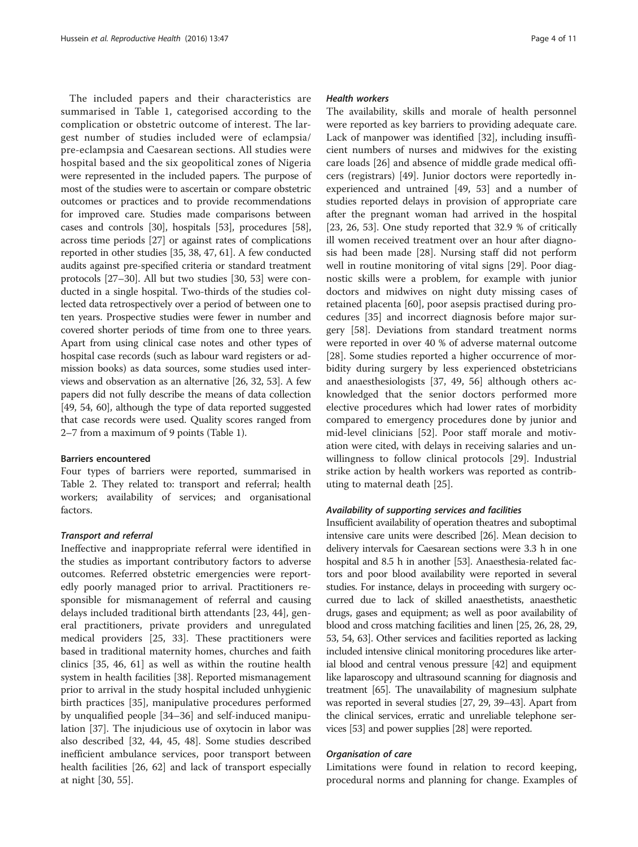The included papers and their characteristics are summarised in Table [1](#page-4-0), categorised according to the complication or obstetric outcome of interest. The largest number of studies included were of eclampsia/ pre-eclampsia and Caesarean sections. All studies were hospital based and the six geopolitical zones of Nigeria were represented in the included papers. The purpose of most of the studies were to ascertain or compare obstetric outcomes or practices and to provide recommendations for improved care. Studies made comparisons between cases and controls [[30](#page-9-0)], hospitals [\[53\]](#page-9-0), procedures [[58](#page-10-0)], across time periods [[27](#page-9-0)] or against rates of complications reported in other studies [[35](#page-9-0), [38, 47](#page-9-0), [61\]](#page-10-0). A few conducted audits against pre-specified criteria or standard treatment protocols [[27](#page-9-0)–[30\]](#page-9-0). All but two studies [[30](#page-9-0), [53](#page-9-0)] were conducted in a single hospital. Two-thirds of the studies collected data retrospectively over a period of between one to ten years. Prospective studies were fewer in number and covered shorter periods of time from one to three years. Apart from using clinical case notes and other types of hospital case records (such as labour ward registers or admission books) as data sources, some studies used interviews and observation as an alternative [[26](#page-9-0), [32](#page-9-0), [53\]](#page-9-0). A few papers did not fully describe the means of data collection [[49](#page-9-0), [54](#page-9-0), [60\]](#page-10-0), although the type of data reported suggested that case records were used. Quality scores ranged from 2–7 from a maximum of 9 points (Table [1](#page-4-0)).

## Barriers encountered

Four types of barriers were reported, summarised in Table [2](#page-6-0). They related to: transport and referral; health workers; availability of services; and organisational factors.

## Transport and referral

Ineffective and inappropriate referral were identified in the studies as important contributory factors to adverse outcomes. Referred obstetric emergencies were reportedly poorly managed prior to arrival. Practitioners responsible for mismanagement of referral and causing delays included traditional birth attendants [\[23](#page-9-0), [44](#page-9-0)], general practitioners, private providers and unregulated medical providers [[25](#page-9-0), [33\]](#page-9-0). These practitioners were based in traditional maternity homes, churches and faith clinics [[35](#page-9-0), [46,](#page-9-0) [61\]](#page-10-0) as well as within the routine health system in health facilities [\[38](#page-9-0)]. Reported mismanagement prior to arrival in the study hospital included unhygienic birth practices [\[35](#page-9-0)], manipulative procedures performed by unqualified people [\[34](#page-9-0)–[36\]](#page-9-0) and self-induced manipulation [[37](#page-9-0)]. The injudicious use of oxytocin in labor was also described [\[32](#page-9-0), [44](#page-9-0), [45, 48](#page-9-0)]. Some studies described inefficient ambulance services, poor transport between health facilities [\[26,](#page-9-0) [62\]](#page-10-0) and lack of transport especially at night [\[30](#page-9-0), [55](#page-10-0)].

## Health workers

The availability, skills and morale of health personnel were reported as key barriers to providing adequate care. Lack of manpower was identified [\[32](#page-9-0)], including insufficient numbers of nurses and midwives for the existing care loads [[26](#page-9-0)] and absence of middle grade medical officers (registrars) [[49\]](#page-9-0). Junior doctors were reportedly inexperienced and untrained [\[49](#page-9-0), [53\]](#page-9-0) and a number of studies reported delays in provision of appropriate care after the pregnant woman had arrived in the hospital [[23, 26](#page-9-0), [53\]](#page-9-0). One study reported that 32.9 % of critically ill women received treatment over an hour after diagnosis had been made [[28\]](#page-9-0). Nursing staff did not perform well in routine monitoring of vital signs [[29\]](#page-9-0). Poor diagnostic skills were a problem, for example with junior doctors and midwives on night duty missing cases of retained placenta [[60\]](#page-10-0), poor asepsis practised during procedures [[35](#page-9-0)] and incorrect diagnosis before major surgery [[58\]](#page-10-0). Deviations from standard treatment norms were reported in over 40 % of adverse maternal outcome [[28\]](#page-9-0). Some studies reported a higher occurrence of morbidity during surgery by less experienced obstetricians and anaesthesiologists [[37, 49](#page-9-0), [56\]](#page-10-0) although others acknowledged that the senior doctors performed more elective procedures which had lower rates of morbidity compared to emergency procedures done by junior and mid-level clinicians [\[52](#page-9-0)]. Poor staff morale and motivation were cited, with delays in receiving salaries and unwillingness to follow clinical protocols [[29\]](#page-9-0). Industrial strike action by health workers was reported as contributing to maternal death [[25\]](#page-9-0).

## Availability of supporting services and facilities

Insufficient availability of operation theatres and suboptimal intensive care units were described [\[26](#page-9-0)]. Mean decision to delivery intervals for Caesarean sections were 3.3 h in one hospital and 8.5 h in another [[53](#page-9-0)]. Anaesthesia-related factors and poor blood availability were reported in several studies. For instance, delays in proceeding with surgery occurred due to lack of skilled anaesthetists, anaesthetic drugs, gases and equipment; as well as poor availability of blood and cross matching facilities and linen [[25](#page-9-0), [26](#page-9-0), [28](#page-9-0), [29](#page-9-0), [53](#page-9-0), [54,](#page-9-0) [63](#page-10-0)]. Other services and facilities reported as lacking included intensive clinical monitoring procedures like arterial blood and central venous pressure [\[42](#page-9-0)] and equipment like laparoscopy and ultrasound scanning for diagnosis and treatment [\[65\]](#page-10-0). The unavailability of magnesium sulphate was reported in several studies [\[27, 29](#page-9-0), [39](#page-9-0)–[43\]](#page-9-0). Apart from the clinical services, erratic and unreliable telephone services [\[53](#page-9-0)] and power supplies [\[28\]](#page-9-0) were reported.

## Organisation of care

Limitations were found in relation to record keeping, procedural norms and planning for change. Examples of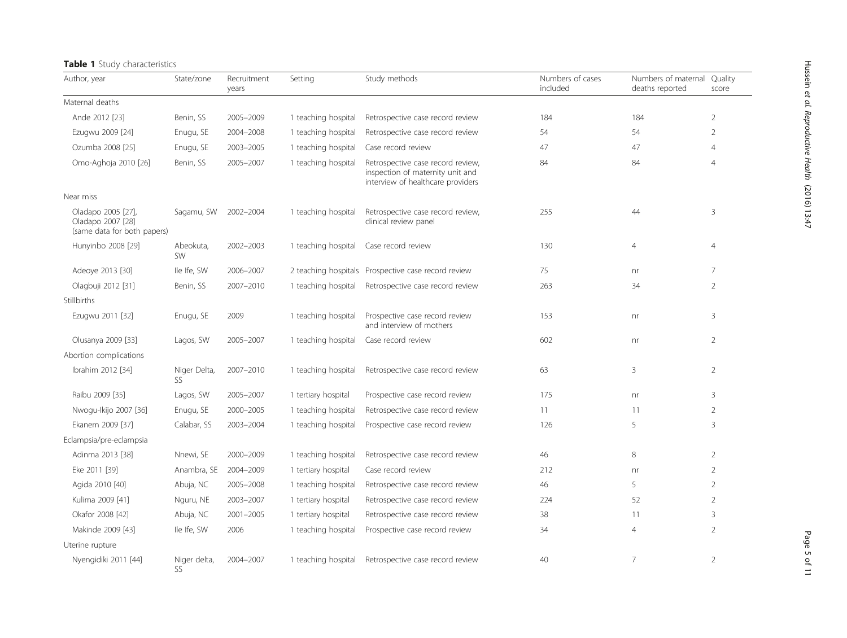<span id="page-4-0"></span>

| Table 1 Study characteristics |  |
|-------------------------------|--|
|-------------------------------|--|

| Author, year                                                           | State/zone         | Recruitment<br>years | Setting             | Study methods                                                                                              | Numbers of cases<br>included | Numbers of maternal<br>deaths reported | Quality<br>score         |
|------------------------------------------------------------------------|--------------------|----------------------|---------------------|------------------------------------------------------------------------------------------------------------|------------------------------|----------------------------------------|--------------------------|
| Maternal deaths                                                        |                    |                      |                     |                                                                                                            |                              |                                        |                          |
| Ande 2012 [23]                                                         | Benin, SS          | 2005-2009            | 1 teaching hospital | Retrospective case record review                                                                           | 184                          | 184                                    | $\overline{2}$           |
| Ezugwu 2009 [24]                                                       | Enugu, SE          | 2004-2008            | 1 teaching hospital | Retrospective case record review                                                                           | 54                           | 54                                     | $\overline{2}$           |
| Ozumba 2008 [25]                                                       | Enugu, SE          | 2003-2005            | 1 teaching hospital | Case record review                                                                                         | 47                           | 47                                     | $\overline{4}$           |
| Omo-Aghoja 2010 [26]                                                   | Benin, SS          | 2005-2007            | 1 teaching hospital | Retrospective case record review,<br>inspection of maternity unit and<br>interview of healthcare providers | 84                           | 84                                     | 4                        |
| Near miss                                                              |                    |                      |                     |                                                                                                            |                              |                                        |                          |
| Oladapo 2005 [27],<br>Oladapo 2007 [28]<br>(same data for both papers) | Sagamu, SW         | 2002-2004            | 1 teaching hospital | Retrospective case record review,<br>clinical review panel                                                 | 255                          | 44                                     | 3                        |
| Hunyinbo 2008 [29]                                                     | Abeokuta,<br>SW    | 2002-2003            | 1 teaching hospital | Case record review                                                                                         | 130                          | $\overline{4}$                         | $\overline{4}$           |
| Adeoye 2013 [30]                                                       | Ile Ife, SW        | 2006-2007            |                     | 2 teaching hospitals Prospective case record review                                                        | 75                           | nr                                     | $\overline{7}$           |
| Olagbuji 2012 [31]                                                     | Benin, SS          | 2007-2010            | 1 teaching hospital | Retrospective case record review                                                                           | 263                          | 34                                     | $\overline{2}$           |
| Stillbirths                                                            |                    |                      |                     |                                                                                                            |                              |                                        |                          |
| Ezugwu 2011 [32]                                                       | Enugu, SE          | 2009                 | 1 teaching hospital | Prospective case record review<br>and interview of mothers                                                 | 153                          | nr                                     | 3                        |
| Olusanya 2009 [33]                                                     | Lagos, SW          | 2005-2007            | 1 teaching hospital | Case record review                                                                                         | 602                          | nr                                     | $\overline{2}$           |
| Abortion complications                                                 |                    |                      |                     |                                                                                                            |                              |                                        |                          |
| Ibrahim 2012 [34]                                                      | Niger Delta,<br>SS | 2007-2010            | 1 teaching hospital | Retrospective case record review                                                                           | 63                           | 3                                      | $\overline{2}$           |
| Raibu 2009 [35]                                                        | Lagos, SW          | 2005-2007            | 1 tertiary hospital | Prospective case record review                                                                             | 175                          | n r                                    | 3                        |
| Nwogu-Ikijo 2007 [36]                                                  | Enugu, SE          | 2000-2005            | 1 teaching hospital | Retrospective case record review                                                                           | 11                           | 11                                     | $\overline{2}$           |
| Ekanem 2009 [37]                                                       | Calabar, SS        | 2003-2004            | 1 teaching hospital | Prospective case record review                                                                             | 126                          | 5                                      | 3                        |
| Eclampsia/pre-eclampsia                                                |                    |                      |                     |                                                                                                            |                              |                                        |                          |
| Adinma 2013 [38]                                                       | Nnewi, SE          | 2000-2009            | 1 teaching hospital | Retrospective case record review                                                                           | 46                           | 8                                      | $\overline{2}$           |
| Eke 2011 [39]                                                          | Anambra, SE        | 2004-2009            | 1 tertiary hospital | Case record review                                                                                         | 212                          | n <sub>r</sub>                         | $\overline{2}$           |
| Agida 2010 [40]                                                        | Abuja, NC          | 2005-2008            | 1 teaching hospital | Retrospective case record review                                                                           | 46                           | 5                                      | $\overline{\phantom{a}}$ |
| Kulima 2009 [41]                                                       | Nguru, NE          | 2003-2007            | 1 tertiary hospital | Retrospective case record review                                                                           | 224                          | 52                                     | 2                        |
| Okafor 2008 [42]                                                       | Abuja, NC          | 2001-2005            | 1 tertiary hospital | Retrospective case record review                                                                           | 38                           | 11                                     | 3                        |
| Makinde 2009 [43]                                                      | Ile Ife, SW        | 2006                 | 1 teaching hospital | Prospective case record review                                                                             | 34                           | $\overline{4}$                         | $\overline{2}$           |
| Uterine rupture                                                        |                    |                      |                     |                                                                                                            |                              |                                        |                          |
| Nyengidiki 2011 [44]                                                   | Niger delta,<br>SS | 2004-2007            | 1 teaching hospital | Retrospective case record review                                                                           | 40                           | $\overline{7}$                         | $\overline{2}$           |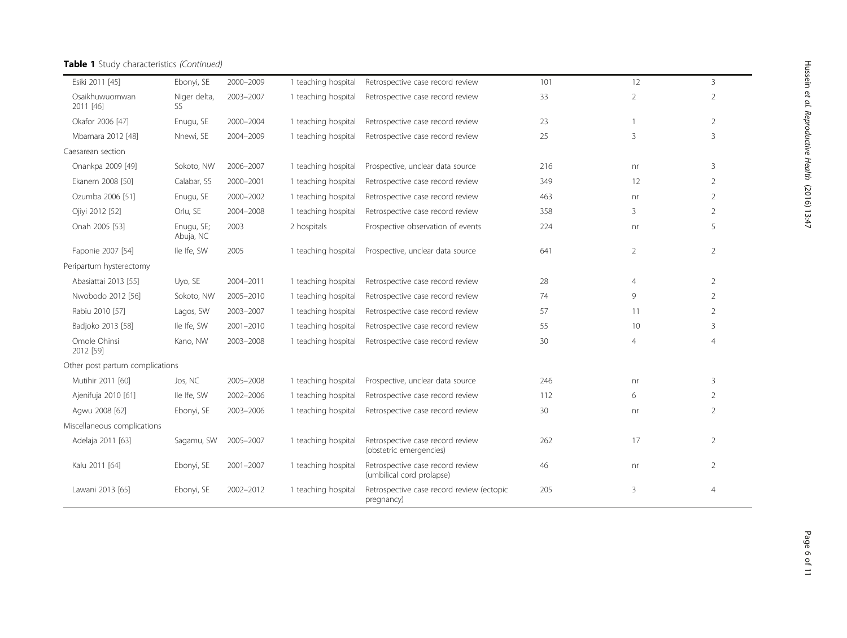## Table 1 Study characteristics (Continued)

| Esiki 2011 [45]                 | Ebonyi, SE              | 2000-2009 | 1 teaching hospital | Retrospective case record review                              | 101 | 12             | 3              |
|---------------------------------|-------------------------|-----------|---------------------|---------------------------------------------------------------|-----|----------------|----------------|
| Osaikhuwuomwan<br>2011 [46]     | Niger delta,<br>SS      | 2003-2007 | 1 teaching hospital | Retrospective case record review                              | 33  | $\overline{2}$ | 2              |
| Okafor 2006 [47]                | Enugu, SE               | 2000-2004 | 1 teaching hospital | Retrospective case record review                              | 23  | $\mathbf{1}$   | $\overline{2}$ |
| Mbamara 2012 [48]               | Nnewi, SE               | 2004-2009 | 1 teaching hospital | Retrospective case record review                              | 25  | 3              | 3              |
| Caesarean section               |                         |           |                     |                                                               |     |                |                |
| Onankpa 2009 [49]               | Sokoto, NW              | 2006-2007 | 1 teaching hospital | Prospective, unclear data source                              | 216 | nr             | 3              |
| Ekanem 2008 [50]                | Calabar, SS             | 2000-2001 | 1 teaching hospital | Retrospective case record review                              | 349 | 12             | $\overline{2}$ |
| Ozumba 2006 [51]                | Enugu, SE               | 2000-2002 | 1 teaching hospital | Retrospective case record review                              | 463 | nr             | 2              |
| Ojiyi 2012 [52]                 | Orlu, SE                | 2004-2008 | 1 teaching hospital | Retrospective case record review                              | 358 | 3              | 2              |
| Onah 2005 [53]                  | Enugu, SE;<br>Abuja, NC | 2003      | 2 hospitals         | Prospective observation of events                             | 224 | nr             | 5              |
| Faponie 2007 [54]               | Ile Ife, SW             | 2005      | 1 teaching hospital | Prospective, unclear data source                              | 641 | $\overline{2}$ | $\overline{2}$ |
| Peripartum hysterectomy         |                         |           |                     |                                                               |     |                |                |
| Abasiattai 2013 [55]            | Uyo, SE                 | 2004-2011 | 1 teaching hospital | Retrospective case record review                              | 28  | $\overline{4}$ | $\overline{2}$ |
| Nwobodo 2012 [56]               | Sokoto, NW              | 2005-2010 | 1 teaching hospital | Retrospective case record review                              | 74  | 9              | 2              |
| Rabiu 2010 [57]                 | Lagos, SW               | 2003-2007 | 1 teaching hospital | Retrospective case record review                              | 57  | 11             | 2              |
| Badjoko 2013 [58]               | Ile Ife, SW             | 2001-2010 | 1 teaching hospital | Retrospective case record review                              | 55  | 10             | 3              |
| Omole Ohinsi<br>2012 [59]       | Kano, NW                | 2003-2008 | 1 teaching hospital | Retrospective case record review                              | 30  | 4              | $\overline{4}$ |
| Other post partum complications |                         |           |                     |                                                               |     |                |                |
| Mutihir 2011 [60]               | Jos, NC                 | 2005-2008 | 1 teaching hospital | Prospective, unclear data source                              | 246 | nr             | 3              |
| Ajenifuja 2010 [61]             | Ile Ife, SW             | 2002-2006 | 1 teaching hospital | Retrospective case record review                              | 112 | 6              | 2              |
| Agwu 2008 [62]                  | Ebonyi, SE              | 2003-2006 | 1 teaching hospital | Retrospective case record review                              | 30  | nr             | $\overline{2}$ |
| Miscellaneous complications     |                         |           |                     |                                                               |     |                |                |
| Adelaja 2011 [63]               | Sagamu, SW              | 2005-2007 | 1 teaching hospital | Retrospective case record review<br>(obstetric emergencies)   | 262 | 17             | $\overline{2}$ |
| Kalu 2011 [64]                  | Ebonyi, SE              | 2001-2007 | 1 teaching hospital | Retrospective case record review<br>(umbilical cord prolapse) | 46  | nr             | 2              |
| Lawani 2013 [65]                | Ebonyi, SE              | 2002-2012 | 1 teaching hospital | Retrospective case record review (ectopic<br>pregnancy)       | 205 | 3              | 4              |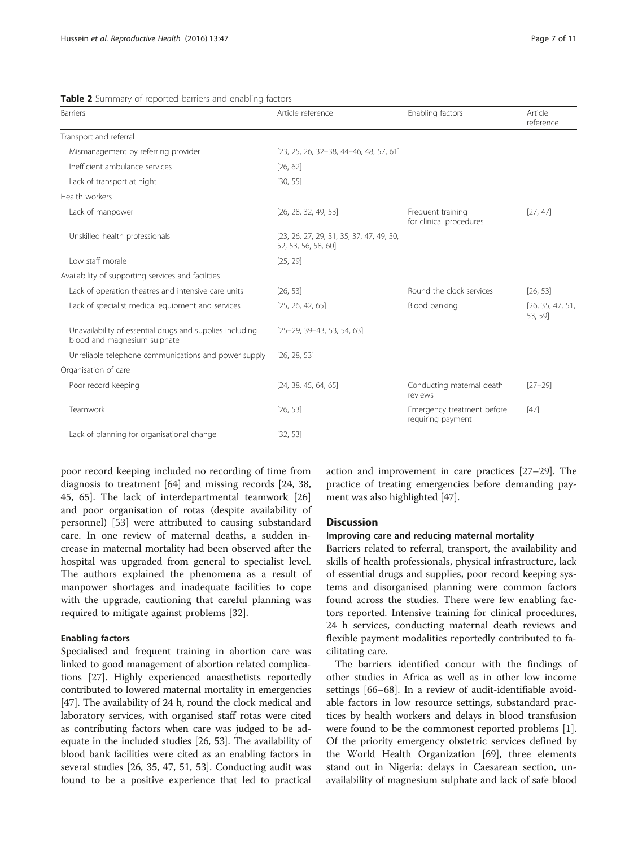| <b>Barriers</b>                                                                          | Article reference                                               | Enabling factors                                | Article<br>reference        |
|------------------------------------------------------------------------------------------|-----------------------------------------------------------------|-------------------------------------------------|-----------------------------|
| Transport and referral                                                                   |                                                                 |                                                 |                             |
| Mismanagement by referring provider                                                      | $[23, 25, 26, 32-38, 44-46, 48, 57, 61]$                        |                                                 |                             |
| Inefficient ambulance services                                                           | [26, 62]                                                        |                                                 |                             |
| Lack of transport at night                                                               | [30, 55]                                                        |                                                 |                             |
| Health workers                                                                           |                                                                 |                                                 |                             |
| Lack of manpower                                                                         | [26, 28, 32, 49, 53]                                            | Frequent training<br>for clinical procedures    | [27, 47]                    |
| Unskilled health professionals                                                           | [23, 26, 27, 29, 31, 35, 37, 47, 49, 50,<br>52, 53, 56, 58, 60] |                                                 |                             |
| Low staff morale                                                                         | [25, 29]                                                        |                                                 |                             |
| Availability of supporting services and facilities                                       |                                                                 |                                                 |                             |
| Lack of operation theatres and intensive care units                                      | [26, 53]                                                        | Round the clock services                        | [26, 53]                    |
| Lack of specialist medical equipment and services                                        | [25, 26, 42, 65]                                                | Blood banking                                   | [26, 35, 47, 51]<br>53, 59] |
| Unavailability of essential drugs and supplies including<br>blood and magnesium sulphate | $[25-29, 39-43, 53, 54, 63]$                                    |                                                 |                             |
| Unreliable telephone communications and power supply                                     | [26, 28, 53]                                                    |                                                 |                             |
| Organisation of care                                                                     |                                                                 |                                                 |                             |
| Poor record keeping                                                                      | [24, 38, 45, 64, 65]                                            | Conducting maternal death<br>reviews            | $[27 - 29]$                 |
| Teamwork                                                                                 | [26, 53]                                                        | Emergency treatment before<br>requiring payment | $[47]$                      |
| Lack of planning for organisational change                                               | [32, 53]                                                        |                                                 |                             |

<span id="page-6-0"></span>Table 2 Summary of reported barriers and enabling factors

poor record keeping included no recording of time from diagnosis to treatment [\[64](#page-10-0)] and missing records [\[24, 38](#page-9-0), [45,](#page-9-0) [65\]](#page-10-0). The lack of interdepartmental teamwork [[26](#page-9-0)] and poor organisation of rotas (despite availability of personnel) [\[53](#page-9-0)] were attributed to causing substandard care. In one review of maternal deaths, a sudden increase in maternal mortality had been observed after the hospital was upgraded from general to specialist level. The authors explained the phenomena as a result of manpower shortages and inadequate facilities to cope with the upgrade, cautioning that careful planning was required to mitigate against problems [[32\]](#page-9-0).

## Enabling factors

Specialised and frequent training in abortion care was linked to good management of abortion related complications [\[27](#page-9-0)]. Highly experienced anaesthetists reportedly contributed to lowered maternal mortality in emergencies [[47](#page-9-0)]. The availability of 24 h, round the clock medical and laboratory services, with organised staff rotas were cited as contributing factors when care was judged to be adequate in the included studies [\[26, 53\]](#page-9-0). The availability of blood bank facilities were cited as an enabling factors in several studies [[26](#page-9-0), [35, 47, 51](#page-9-0), [53](#page-9-0)]. Conducting audit was found to be a positive experience that led to practical action and improvement in care practices [[27](#page-9-0)–[29\]](#page-9-0). The practice of treating emergencies before demanding payment was also highlighted [\[47](#page-9-0)].

## **Discussion**

## Improving care and reducing maternal mortality

Barriers related to referral, transport, the availability and skills of health professionals, physical infrastructure, lack of essential drugs and supplies, poor record keeping systems and disorganised planning were common factors found across the studies. There were few enabling factors reported. Intensive training for clinical procedures, 24 h services, conducting maternal death reviews and flexible payment modalities reportedly contributed to facilitating care.

The barriers identified concur with the findings of other studies in Africa as well as in other low income settings [[66](#page-10-0)–[68](#page-10-0)]. In a review of audit-identifiable avoidable factors in low resource settings, substandard practices by health workers and delays in blood transfusion were found to be the commonest reported problems [\[1](#page-8-0)]. Of the priority emergency obstetric services defined by the World Health Organization [\[69](#page-10-0)], three elements stand out in Nigeria: delays in Caesarean section, unavailability of magnesium sulphate and lack of safe blood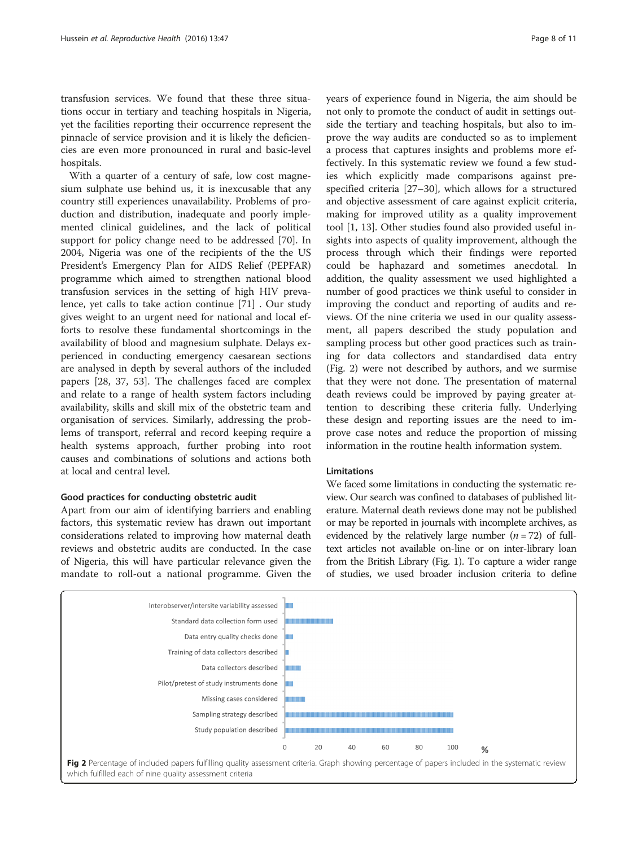transfusion services. We found that these three situations occur in tertiary and teaching hospitals in Nigeria, yet the facilities reporting their occurrence represent the pinnacle of service provision and it is likely the deficiencies are even more pronounced in rural and basic-level hospitals.

With a quarter of a century of safe, low cost magnesium sulphate use behind us, it is inexcusable that any country still experiences unavailability. Problems of production and distribution, inadequate and poorly implemented clinical guidelines, and the lack of political support for policy change need to be addressed [[70\]](#page-10-0). In 2004, Nigeria was one of the recipients of the the US President's Emergency Plan for AIDS Relief (PEPFAR) programme which aimed to strengthen national blood transfusion services in the setting of high HIV prevalence, yet calls to take action continue [\[71](#page-10-0)] . Our study gives weight to an urgent need for national and local efforts to resolve these fundamental shortcomings in the availability of blood and magnesium sulphate. Delays experienced in conducting emergency caesarean sections are analysed in depth by several authors of the included papers [\[28](#page-9-0), [37, 53\]](#page-9-0). The challenges faced are complex and relate to a range of health system factors including availability, skills and skill mix of the obstetric team and organisation of services. Similarly, addressing the problems of transport, referral and record keeping require a health systems approach, further probing into root causes and combinations of solutions and actions both at local and central level.

## Good practices for conducting obstetric audit

Apart from our aim of identifying barriers and enabling factors, this systematic review has drawn out important considerations related to improving how maternal death reviews and obstetric audits are conducted. In the case of Nigeria, this will have particular relevance given the mandate to roll-out a national programme. Given the years of experience found in Nigeria, the aim should be not only to promote the conduct of audit in settings outside the tertiary and teaching hospitals, but also to improve the way audits are conducted so as to implement a process that captures insights and problems more effectively. In this systematic review we found a few studies which explicitly made comparisons against prespecified criteria [\[27](#page-9-0)–[30\]](#page-9-0), which allows for a structured and objective assessment of care against explicit criteria, making for improved utility as a quality improvement tool [[1,](#page-8-0) [13](#page-9-0)]. Other studies found also provided useful insights into aspects of quality improvement, although the process through which their findings were reported could be haphazard and sometimes anecdotal. In addition, the quality assessment we used highlighted a number of good practices we think useful to consider in improving the conduct and reporting of audits and reviews. Of the nine criteria we used in our quality assessment, all papers described the study population and sampling process but other good practices such as training for data collectors and standardised data entry (Fig. 2) were not described by authors, and we surmise that they were not done. The presentation of maternal death reviews could be improved by paying greater attention to describing these criteria fully. Underlying these design and reporting issues are the need to improve case notes and reduce the proportion of missing information in the routine health information system.

## **Limitations**

We faced some limitations in conducting the systematic review. Our search was confined to databases of published literature. Maternal death reviews done may not be published or may be reported in journals with incomplete archives, as evidenced by the relatively large number  $(n = 72)$  of fulltext articles not available on-line or on inter-library loan from the British Library (Fig. [1](#page-2-0)). To capture a wider range of studies, we used broader inclusion criteria to define

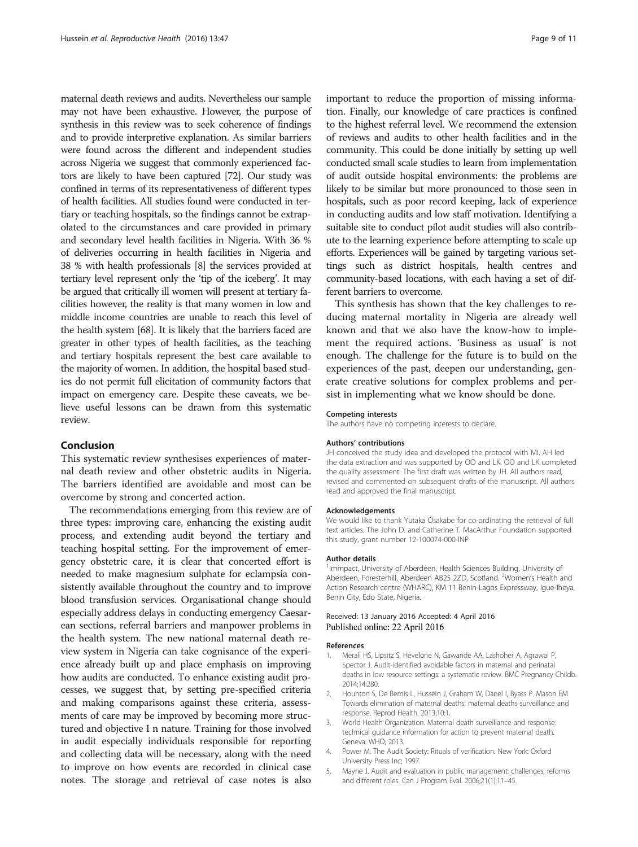<span id="page-8-0"></span>maternal death reviews and audits. Nevertheless our sample may not have been exhaustive. However, the purpose of synthesis in this review was to seek coherence of findings and to provide interpretive explanation. As similar barriers were found across the different and independent studies across Nigeria we suggest that commonly experienced factors are likely to have been captured [[72](#page-10-0)]. Our study was confined in terms of its representativeness of different types of health facilities. All studies found were conducted in tertiary or teaching hospitals, so the findings cannot be extrapolated to the circumstances and care provided in primary and secondary level health facilities in Nigeria. With 36 % of deliveries occurring in health facilities in Nigeria and 38 % with health professionals [[8](#page-9-0)] the services provided at tertiary level represent only the 'tip of the iceberg'. It may be argued that critically ill women will present at tertiary facilities however, the reality is that many women in low and middle income countries are unable to reach this level of the health system [\[68\]](#page-10-0). It is likely that the barriers faced are greater in other types of health facilities, as the teaching and tertiary hospitals represent the best care available to the majority of women. In addition, the hospital based studies do not permit full elicitation of community factors that impact on emergency care. Despite these caveats, we believe useful lessons can be drawn from this systematic review.

## Conclusion

This systematic review synthesises experiences of maternal death review and other obstetric audits in Nigeria. The barriers identified are avoidable and most can be overcome by strong and concerted action.

The recommendations emerging from this review are of three types: improving care, enhancing the existing audit process, and extending audit beyond the tertiary and teaching hospital setting. For the improvement of emergency obstetric care, it is clear that concerted effort is needed to make magnesium sulphate for eclampsia consistently available throughout the country and to improve blood transfusion services. Organisational change should especially address delays in conducting emergency Caesarean sections, referral barriers and manpower problems in the health system. The new national maternal death review system in Nigeria can take cognisance of the experience already built up and place emphasis on improving how audits are conducted. To enhance existing audit processes, we suggest that, by setting pre-specified criteria and making comparisons against these criteria, assessments of care may be improved by becoming more structured and objective I n nature. Training for those involved in audit especially individuals responsible for reporting and collecting data will be necessary, along with the need to improve on how events are recorded in clinical case notes. The storage and retrieval of case notes is also

important to reduce the proportion of missing information. Finally, our knowledge of care practices is confined to the highest referral level. We recommend the extension of reviews and audits to other health facilities and in the community. This could be done initially by setting up well conducted small scale studies to learn from implementation of audit outside hospital environments: the problems are likely to be similar but more pronounced to those seen in hospitals, such as poor record keeping, lack of experience in conducting audits and low staff motivation. Identifying a suitable site to conduct pilot audit studies will also contribute to the learning experience before attempting to scale up efforts. Experiences will be gained by targeting various settings such as district hospitals, health centres and community-based locations, with each having a set of different barriers to overcome.

This synthesis has shown that the key challenges to reducing maternal mortality in Nigeria are already well known and that we also have the know-how to implement the required actions. 'Business as usual' is not enough. The challenge for the future is to build on the experiences of the past, deepen our understanding, generate creative solutions for complex problems and persist in implementing what we know should be done.

## Competing interests

The authors have no competing interests to declare.

#### Authors' contributions

JH conceived the study idea and developed the protocol with MI. AH led the data extraction and was supported by OO and LK. OO and LK completed the quality assessment. The first draft was written by JH. All authors read, revised and commented on subsequent drafts of the manuscript. All authors read and approved the final manuscript.

#### Acknowledgements

We would like to thank Yutaka Osakabe for co-ordinating the retrieval of full text articles. The John D. and Catherine T. MacArthur Foundation supported this study, grant number 12-100074-000-INP

## Author details

<sup>1</sup> Immpact, University of Aberdeen, Health Sciences Building, University of Aberdeen, Foresterhill, Aberdeen AB25 2ZD, Scotland. <sup>2</sup>Women's Health and Action Research centre (WHARC), KM 11 Benin-Lagos Expressway, Igue-Iheya, Benin City, Edo State, Nigeria.

## Received: 13 January 2016 Accepted: 4 April 2016 Published online: 22 April 2016

#### References

- 1. Merali HS, Lipsitz S, Hevelone N, Gawande AA, Lashoher A, Agrawal P, Spector J. Audit-identified avoidable factors in maternal and perinatal deaths in low resource settings: a systematic review. BMC Pregnancy Childb. 2014;14:280.
- 2. Hounton S, De Bernis L, Hussein J, Graham W, Danel I, Byass P. Mason EM Towards elimination of maternal deaths: maternal deaths surveillance and response. Reprod Health. 2013;10:1.
- 3. World Health Organization. Maternal death surveillance and response: technical guidance information for action to prevent maternal death. Geneva: WHO; 2013.
- 4. Power M. The Audit Society: Rituals of verification. New York: Oxford University Press Inc; 1997.
- 5. Mayne J. Audit and evaluation in public management: challenges, reforms and different roles. Can J Program Eval. 2006;21(1):11–45.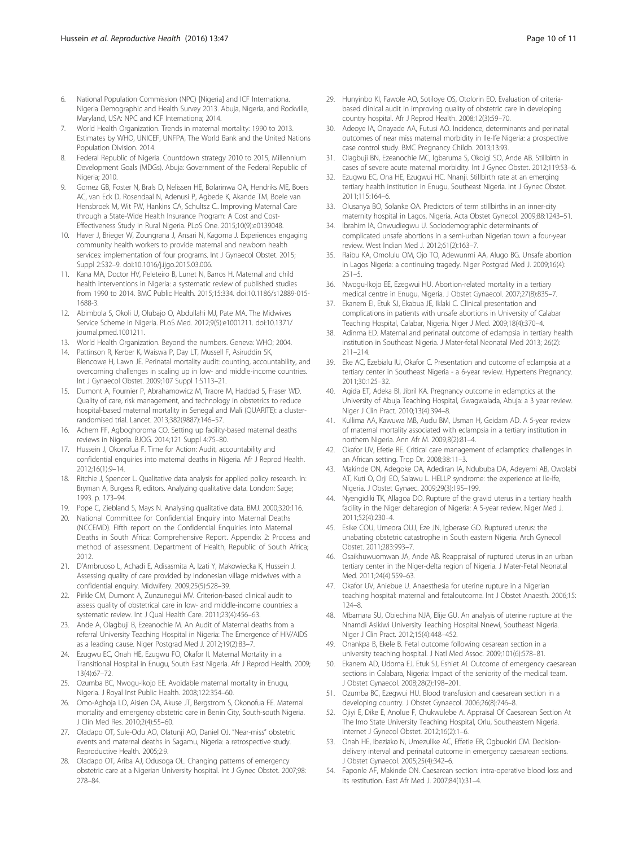- <span id="page-9-0"></span>6. National Population Commission (NPC) [Nigeria] and ICF Internationa. Nigeria Demographic and Health Survey 2013. Abuja, Nigeria, and Rockville, Maryland, USA: NPC and ICF Internationa; 2014.
- 7. World Health Organization. Trends in maternal mortality: 1990 to 2013. Estimates by WHO, UNICEF, UNFPA, The World Bank and the United Nations Population Division. 2014.
- Federal Republic of Nigeria. Countdown strategy 2010 to 2015, Millennium Development Goals (MDGs). Abuja: Government of the Federal Republic of Nigeria; 2010.
- 9. Gomez GB, Foster N, Brals D, Nelissen HE, Bolarinwa OA, Hendriks ME, Boers AC, van Eck D, Rosendaal N, Adenusi P, Agbede K, Akande TM, Boele van Hensbroek M, Wit FW, Hankins CA, Schultsz C.. Improving Maternal Care through a State-Wide Health Insurance Program: A Cost and Cost-Effectiveness Study in Rural Nigeria. PLoS One. 2015;10(9):e0139048.
- 10. Haver J, Brieger W, Zoungrana J, Ansari N, Kagoma J. Experiences engaging community health workers to provide maternal and newborn health services: implementation of four programs. Int J Gynaecol Obstet. 2015; Suppl 2:S32–9. doi[:10.1016/j.ijgo.2015.03.006.](http://dx.doi.org/10.1016/j.ijgo.2015.03.006)
- 11. Kana MA, Doctor HV, Peleteiro B, Lunet N, Barros H. Maternal and child health interventions in Nigeria: a systematic review of published studies from 1990 to 2014. BMC Public Health. 2015;15:334. doi[:10.1186/s12889-015-](http://dx.doi.org/10.1186/s12889-015-1688-3) [1688-3.](http://dx.doi.org/10.1186/s12889-015-1688-3)
- 12. Abimbola S, Okoli U, Olubajo O, Abdullahi MJ, Pate MA. The Midwives Service Scheme in Nigeria. PLoS Med. 2012;9(5):e1001211. doi:[10.1371/](http://dx.doi.org/10.1371/journal.pmed.1001211) [journal.pmed.1001211](http://dx.doi.org/10.1371/journal.pmed.1001211).
- 13. World Health Organization. Beyond the numbers. Geneva: WHO; 2004.
- 14. Pattinson R, Kerber K, Waiswa P, Day LT, Mussell F, Asiruddin SK, Blencowe H, Lawn JE. Perinatal mortality audit: counting, accountability, and overcoming challenges in scaling up in low- and middle-income countries. Int J Gynaecol Obstet. 2009;107 Suppl 1:S113–21.
- 15. Dumont A, Fournier P, Abrahamowicz M, Traore M, Haddad S, Fraser WD. Quality of care, risk management, and technology in obstetrics to reduce hospital-based maternal mortality in Senegal and Mali (QUARITE): a clusterrandomised trial. Lancet. 2013;382(9887):146–57.
- 16. Achem FF, Agboghoroma CO. Setting up facility-based maternal deaths reviews in Nigeria. BJOG. 2014;121 Suppl 4:75–80.
- 17. Hussein J, Okonofua F. Time for Action: Audit, accountability and confidential enquiries into maternal deaths in Nigeria. Afr J Reprod Health. 2012;16(1):9–14.
- 18. Ritchie J, Spencer L. Qualitative data analysis for applied policy research. In: Bryman A, Burgess R, editors. Analyzing qualitative data. London: Sage; 1993. p. 173–94.
- 19. Pope C, Ziebland S, Mays N. Analysing qualitative data. BMJ. 2000;320:116.
- 20. National Committee for Confidential Enquiry into Maternal Deaths (NCCEMD). Fifth report on the Confidential Enquiries into Maternal Deaths in South Africa: Comprehensive Report. Appendix 2: Process and method of assessment. Department of Health, Republic of South Africa; 2012.
- 21. D'Ambruoso L, Achadi E, Adisasmita A, Izati Y, Makowiecka K, Hussein J. Assessing quality of care provided by Indonesian village midwives with a confidential enquiry. Midwifery. 2009;25(5):528–39.
- 22. Pirkle CM, Dumont A, Zunzunegui MV. Criterion-based clinical audit to assess quality of obstetrical care in low- and middle-income countries: a systematic review. Int J Qual Health Care. 2011;23(4):456–63.
- 23. Ande A, Olagbuji B, Ezeanochie M. An Audit of Maternal deaths from a referral University Teaching Hospital in Nigeria: The Emergence of HIV/AIDS as a leading cause. Niger Postgrad Med J. 2012;19(2):83–7.
- 24. Ezugwu EC, Onah HE, Ezugwu FO, Okafor II. Maternal Mortality in a Transitional Hospital in Enugu, South East Nigeria. Afr J Reprod Health. 2009; 13(4):67–72.
- Ozumba BC, Nwogu-Ikojo EE. Avoidable maternal mortality in Enugu, Nigeria. J Royal Inst Public Health. 2008;122:354–60.
- 26. Omo-Aghoja LO, Aisien OA, Akuse JT, Bergstrom S, Okonofua FE. Maternal mortality and emergency obstetric care in Benin City, South-south Nigeria. J Clin Med Res. 2010;2(4):55–60.
- 27. Oladapo OT, Sule-Odu AO, Olatunji AO, Daniel OJ. "Near-miss" obstetric events and maternal deaths in Sagamu, Nigeria: a retrospective study. Reproductive Health. 2005;2:9.
- 28. Oladapo OT, Ariba AJ, Odusoga OL. Changing patterns of emergency obstetric care at a Nigerian University hospital. Int J Gynec Obstet. 2007;98: 278–84.
- 29. Hunyinbo KI, Fawole AO, Sotiloye OS, Otolorin EO. Evaluation of criteriabased clinical audit in improving quality of obstetric care in developing country hospital. Afr J Reprod Health. 2008;12(3):59–70.
- 30. Adeoye IA, Onayade AA, Futusi AO. Incidence, determinants and perinatal outcomes of near miss maternal morbidity in Ile-Ife Nigeria: a prospective case control study. BMC Pregnancy Childb. 2013;13:93.
- 31. Olagbuji BN, Ezeanochie MC, Igbaruma S, Okoigi SO, Ande AB. Stillbirth in cases of severe acute maternal morbidity. Int J Gynec Obstet. 2012;119:53–6.
- 32. Ezugwu EC, Ona HE, Ezugwui HC. Nnanji. Stillbirth rate at an emerging tertiary health institution in Enugu, Southeast Nigeria. Int J Gynec Obstet. 2011;115:164–6.
- 33. Olusanya BO, Solanke OA. Predictors of term stillbirths in an inner-city maternity hospital in Lagos, Nigeria. Acta Obstet Gynecol. 2009;88:1243–51.
- 34. Ibrahim IA, Onwudiegwu U. Sociodemographic determinants of complicated unsafe abortions in a semi-urban Nigerian town: a four-year review. West Indian Med J. 2012;61(2):163–7.
- 35. Raibu KA, Omolulu OM, Ojo TO, Adewunmi AA, Alugo BG. Unsafe abortion in Lagos Nigeria: a continuing tragedy. Niger Postgrad Med J. 2009;16(4): 251–5.
- 36. Nwogu-Ikojo EE, Ezegwui HU. Abortion-related mortality in a tertiary medical centre in Enugu, Nigeria. J Obstet Gynaecol. 2007;27(8):835–7.
- 37. Ekanem EI, Etuk SJ, Ekabua JE, Iklaki C. Clinical presentation and complications in patients with unsafe abortions in University of Calabar Teaching Hospital, Calabar, Nigeria. Niger J Med. 2009;18(4):370–4.
- 38. Adinma ED. Maternal and perinatal outcome of eclampsia in tertiary health institution in Southeast Nigeria. J Mater-fetal Neonatal Med 2013; 26(2): 211–214.
- 39. Eke AC, Ezebialu IU, Okafor C. Presentation and outcome of eclampsia at a tertiary center in Southeast Nigeria - a 6-year review. Hypertens Pregnancy. 2011;30:125–32.
- 40. Agida ET, Adeka BI, Jibril KA. Pregnancy outcome in eclamptics at the University of Abuja Teaching Hospital, Gwagwalada, Abuja: a 3 year review. Niger J Clin Pract. 2010;13(4):394–8.
- 41. Kullima AA, Kawuwa MB, Audu BM, Usman H, Geidam AD. A 5-year review of maternal mortality associated with eclampsia in a tertiary institution in northern Nigeria. Ann Afr M. 2009;8(2):81–4.
- 42. Okafor UV, Efetie RE. Critical care management of eclamptics: challenges in an African setting. Trop Dr. 2008;38:11–3.
- 43. Makinde ON, Adegoke OA, Adediran IA, Ndububa DA, Adeyemi AB, Owolabi AT, Kuti O, Orji EO, Salawu L. HELLP syndrome: the experience at Ile-Ife, Nigeria. J Obstet Gynaec. 2009;29(3):195–199.
- 44. Nyengidiki TK, Allagoa DO. Rupture of the gravid uterus in a tertiary health facility in the Niger deltaregion of Nigeria: A 5-year review. Niger Med J. 2011;52(4):230–4.
- 45. Esike COU, Umeora OUJ, Eze JN, Igberase GO. Ruptured uterus: the unabating obstetric catastrophe in South eastern Nigeria. Arch Gynecol Obstet. 2011;283:993–7.
- 46. Osaikhuwuomwan JA, Ande AB. Reappraisal of ruptured uterus in an urban tertiary center in the Niger-delta region of Nigeria. J Mater-Fetal Neonatal Med. 2011;24(4):559–63.
- 47. Okafor UV, Aniebue U. Anaesthesia for uterine rupture in a Nigerian teaching hospital: maternal and fetaloutcome. Int J Obstet Anaesth. 2006;15: 124–8.
- 48. Mbamara SU, Obiechina NJA, Elije GU. An analysis of uterine rupture at the Nnamdi Asikiwi University Teaching Hospital Nnewi, Southeast Nigeria. Niger J Clin Pract. 2012;15(4):448–452.
- 49. Onankpa B, Ekele B. Fetal outcome following cesarean section in a university teaching hospital. J Natl Med Assoc. 2009;101(6):578–81.
- 50. Ekanem AD, Udoma EJ, Etuk SJ, Eshiet AI. Outcome of emergency caesarean sections in Calabara, Nigeria: Impact of the seniority of the medical team. J Obstet Gynaecol. 2008;28(2):198–201.
- 51. Ozumba BC, Ezegwui HU. Blood transfusion and caesarean section in a developing country. J Obstet Gynaecol. 2006;26(8):746–8.
- 52. Ojiyi E, Dike E, Anolue F, Chukwulebe A. Appraisal Of Caesarean Section At The Imo State University Teaching Hospital, Orlu, Southeastern Nigeria. Internet J Gynecol Obstet. 2012;16(2):1–6.
- 53. Onah HE, Ibeziako N, Umezulike AC, Effetie ER, Ogbuokiri CM. Decisiondelivery interval and perinatal outcome in emergency caesarean sections. J Obstet Gynaecol. 2005;25(4):342–6.
- 54. Faponle AF, Makinde ON. Caesarean section: intra-operative blood loss and its restitution. East Afr Med J. 2007;84(1):31–4.